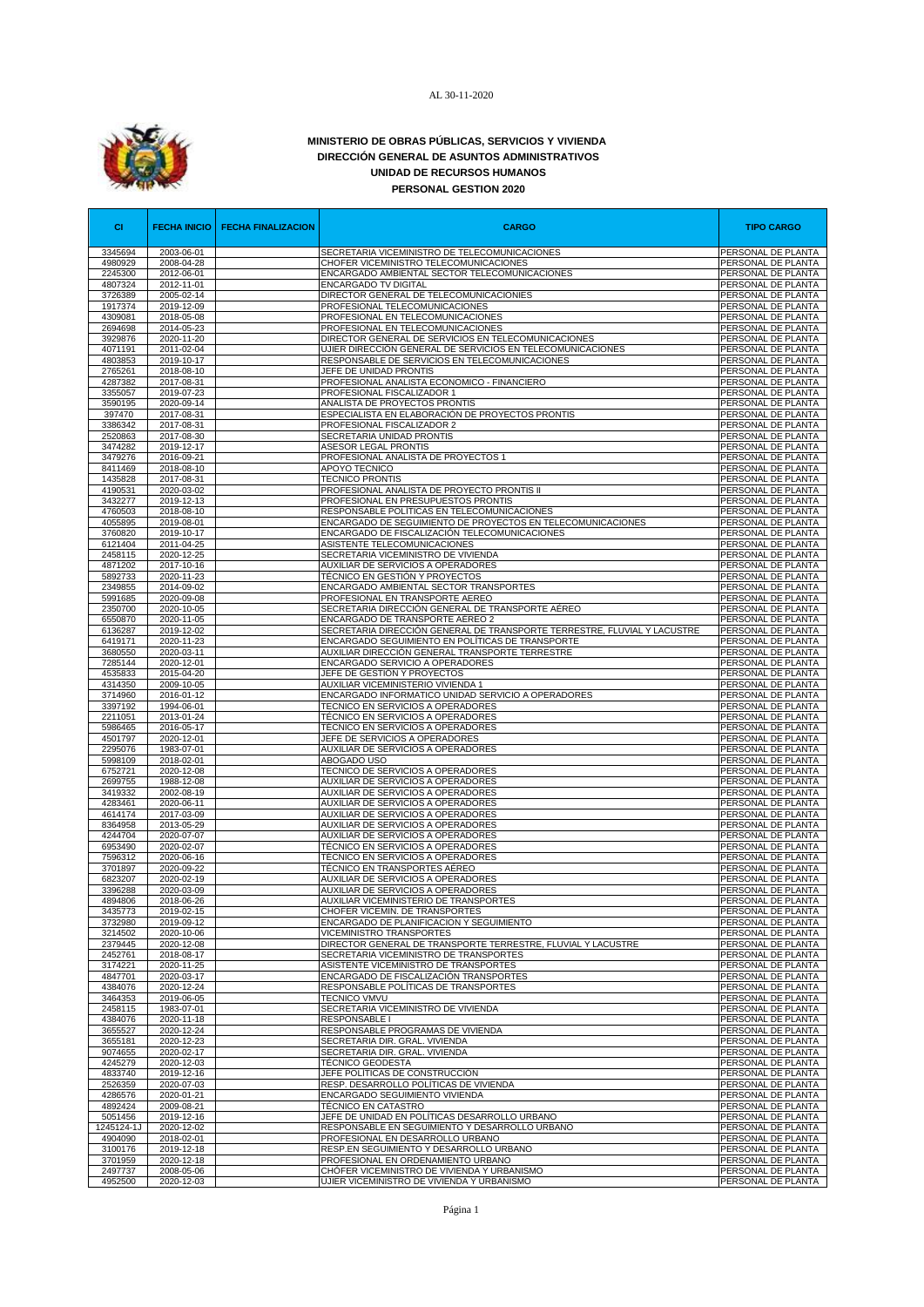

## **MINISTERIO DE OBRAS PÚBLICAS, SERVICIOS Y VIVIENDA DIRECCIÓN GENERAL DE ASUNTOS ADMINISTRATIVOS UNIDAD DE RECURSOS HUMANOS PERSONAL GESTION 2020**

| <b>CI</b>          | <b>FECHA INICIO</b>      | <b>FECHA FINALIZACION</b> | <b>CARGO</b>                                                                            | <b>TIPO CARGO</b>                        |
|--------------------|--------------------------|---------------------------|-----------------------------------------------------------------------------------------|------------------------------------------|
| 3345694            | 2003-06-01               |                           | SECRETARIA VICEMINISTRO DE TELECOMUNICACIONES                                           | PERSONAL DE PLANTA                       |
| 4980929<br>2245300 | 2008-04-28<br>2012-06-01 |                           | CHOFER VICEMINISTRO TELECOMUNICACIONES<br>ENCARGADO AMBIENTAL SECTOR TELECOMUNICACIONES | PERSONAL DE PLANTA<br>PERSONAL DE PLANTA |
| 4807324            | 2012-11-01               |                           | <b>ENCARGADO TV DIGITAL</b>                                                             | PERSONAL DE PLANTA                       |
| 3726389            | 2005-02-14               |                           | DIRECTOR GENERAL DE TELECOMUNICACIONIES                                                 | PERSONAL DE PLANTA                       |
| 1917374            | 2019-12-09               |                           | PROFESIONAL TELECOMUNICACIONES                                                          | PERSONAL DE PLANTA                       |
| 4309081<br>2694698 | 2018-05-08<br>2014-05-23 |                           | PROFESIONAL EN TELECOMUNICACIONES<br>PROFESIONAL EN TELECOMUNICACIONES                  | PERSONAL DE PLANTA<br>PERSONAL DE PLANTA |
| 3929876            | 2020-11-20               |                           | DIRECTOR GENERAL DE SERVICIOS EN TELECOMUNICACIONES                                     | PERSONAL DE PLANTA                       |
| 4071191            | 2011-02-04               |                           | UJIER DIRECCIÓN GENERAL DE SERVICIOS EN TELECOMUNICACIONES                              | PERSONAL DE PLANTA                       |
| 4803853            | 2019-10-17               |                           | RESPONSABLE DE SERVICIOS EN TELECOMUNICACIONES                                          | PERSONAL DE PLANTA                       |
| 2765261<br>4287382 | 2018-08-10<br>2017-08-31 |                           | JEFE DE UNIDAD PRONTIS<br>PROFESIONAL ANALISTA ECONOMICO - FINANCIERO                   | PERSONAL DE PLANTA<br>PERSONAL DE PLANTA |
| 3355057            | 2019-07-23               |                           | PROFESIONAL FISCALIZADOR 1                                                              | PERSONAL DE PLANTA                       |
| 3590195            | 2020-09-14               |                           | ANALISTA DE PROYECTOS PRONTIS                                                           | PERSONAL DE PLANTA                       |
| 397470             | 2017-08-31               |                           | ESPECIALISTA EN ELABORACIÓN DE PROYECTOS PRONTIS                                        | PERSONAL DE PLANTA                       |
| 3386342<br>2520863 | 2017-08-31<br>2017-08-30 |                           | PROFESIONAL FISCALIZADOR 2<br>SECRETARIA UNIDAD PRONTIS                                 | PERSONAL DE PLANTA<br>PERSONAL DE PLANTA |
| 3474282            | 2019-12-17               |                           | ASESOR LEGAL PRONTIS                                                                    | PERSONAL DE PLANTA                       |
| 3479276            | 2016-09-21               |                           | PROFESIONAL ANALISTA DE PROYECTOS 1                                                     | PERSONAL DE PLANTA                       |
| 8411469            | 2018-08-10               |                           | APOYO TECNICO                                                                           | PERSONAL DE PLANTA                       |
| 1435828<br>4190531 | 2017-08-31<br>2020-03-02 |                           | <b>TECNICO PRONTIS</b><br>PROFESIONAL ANALISTA DE PROYECTO PRONTIS II                   | PERSONAL DE PLANTA<br>PERSONAL DE PLANTA |
| 3432277            | 2019-12-13               |                           | PROFESIONAL EN PRESUPUESTOS PRONTIS                                                     | PERSONAL DE PLANTA                       |
| 4760503            | 2018-08-10               |                           | RESPONSABLE POLÍTICAS EN TELECOMUNICACIONES                                             | PERSONAL DE PLANTA                       |
| 4055895            | 2019-08-01               |                           | ENCARGADO DE SEGUIMIENTO DE PROYECTOS EN TELECOMUNICACIONES                             | PERSONAL DE PLANTA                       |
| 3760820            | 2019-10-17               |                           | ENCARGADO DE FISCALIZACIÓN TELECOMUNICACIONES                                           | PERSONAL DE PLANTA                       |
| 6121404<br>2458115 | 2011-04-25<br>2020-12-25 |                           | ASISTENTE TELECOMUNICACIONES<br>SECRETARIA VICEMINISTRO DE VIVIENDA                     | PERSONAL DE PLANTA<br>PERSONAL DE PLANTA |
| 4871202            | 2017-10-16               |                           | AUXILIAR DE SERVICIOS A OPERADORES                                                      | PERSONAL DE PLANTA                       |
| 5892733            | 2020-11-23               |                           | TÉCNICO EN GESTIÓN Y PROYECTOS                                                          | PERSONAL DE PLANTA                       |
| 2349855            | 2014-09-02               |                           | ENCARGADO AMBIENTAL SECTOR TRANSPORTES                                                  | PERSONAL DE PLANTA                       |
| 5991685<br>2350700 | 2020-09-08<br>2020-10-05 |                           | PROFESIONAL EN TRANSPORTE AEREO<br>SECRETARIA DIRECCIÓN GENERAL DE TRANSPORTE AÉREO     | PERSONAL DE PLANTA<br>PERSONAL DE PLANTA |
| 6550870            | 2020-11-05               |                           | <u>ENCARGADO DE TRANSPORTE</u> AÉREO 2                                                  | PERSONAL DE PLANTA                       |
| 6136287            | 2019-12-02               |                           | SECRETARIA DIRECCIÓN GENERAL DE TRANSPORTE TERRESTRE, FLUVIAL Y LACUSTRE                | PERSONAL DE PLANTA                       |
| 6419171            | 2020-11-23               |                           | ENCARGADO SEGUIMIENTO EN POLÍTICAS DE TRANSPORTE                                        | PERSONAL DE PLANTA                       |
| 3680550<br>7285144 | 2020-03-11<br>2020-12-01 |                           | AUXILIAR DIRECCIÓN GENERAL TRANSPORTE TERRESTRE<br>ENCARGADO SERVICIO A OPERADORES      | PERSONAL DE PLANTA<br>PERSONAL DE PLANTA |
| 4535833            | 2015-04-20               |                           | JEFE DE GESTIÓN Y PROYECTOS                                                             | PERSONAL DE PLANTA                       |
| 4314350            | 2009-10-05               |                           | AUXILIAR VICEMINISTERIO VIVIENDA 1                                                      | PERSONAL DE PLANTA                       |
| 3714960            | 2016-01-12               |                           | ENCARGADO INFORMATICO UNIDAD SERVICIO A OPERADORES                                      | PERSONAL DE PLANTA                       |
| 3397192<br>2211051 | 1994-06-01<br>2013-01-24 |                           | TECNICO EN SERVICIOS A OPERADORES<br>TÉCNICO EN SERVICIOS A OPERADORES                  | PERSONAL DE PLANTA<br>PERSONAL DE PLANTA |
| 5986465            | 2016-05-17               |                           | TÉCNICO EN SERVICIOS A OPERADORES                                                       | PERSONAL DE PLANTA                       |
| 4501797            | 2020-12-01               |                           | JEFE DE SERVICIOS A OPERADORES                                                          | PERSONAL DE PLANTA                       |
| 2295076            | 1983-07-01               |                           | AUXILIAR DE SERVICIOS A OPERADORES                                                      | PERSONAL DE PLANTA                       |
| 5998109<br>6752721 | 2018-02-01<br>2020-12-08 |                           | ABOGADO USO<br>TECNICO DE SERVICIOS A OPERADORES                                        | PERSONAL DE PLANTA<br>PERSONAL DE PLANTA |
| 2699755            | 1988-12-08               |                           | AUXILIAR DE SERVICIOS A OPERADORES                                                      | PERSONAL DE PLANTA                       |
| 3419332            | 2002-08-19               |                           | AUXILIAR DE SERVICIOS A OPERADORES                                                      | PERSONAL DE PLANTA                       |
| 4283461            | 2020-06-11               |                           | AUXILIAR DE SERVICIOS A OPERADORES                                                      | PERSONAL DE PLANTA                       |
| 4614174<br>8364958 | 2017-03-09<br>2013-05-29 |                           | AUXILIAR DE SERVICIOS A OPERADORES<br>AUXILIAR DE SERVICIOS A OPERADORES                | PERSONAL DE PLANTA<br>PERSONAL DE PLANTA |
| 4244704            | 2020-07-07               |                           | AUXILIAR DE SERVICIOS A OPERADORES                                                      | PERSONAL DE PLANTA                       |
| 6953490            | 2020-02-07               |                           | TÉCNICO EN SERVICIOS A OPERADORES                                                       | PERSONAL DE PLANTA                       |
| 7596312            | 2020-06-16               |                           | TÉCNICO EN SERVICIOS A OPERADORES                                                       | PERSONAL DE PLANTA                       |
| 3701897<br>6823207 | 2020-09-22<br>2020-02-19 |                           | TÉCNICO EN TRANSPORTES AÉREO<br>AUXILIAR DE SERVICIOS A OPERADORES                      | PERSONAL DE PLANTA<br>PERSONAL DE PLANTA |
| 3396288            | 2020-03-09               |                           | AUXILIAR DE SERVICIOS A OPERADORES                                                      | PERSONAL DE PLANTA                       |
| 4894806            | 2018-06-26               |                           | AUXILIAR VICEMINISTERIO DE TRANSPORTES                                                  | PERSONAL DE PLANTA                       |
| 3435773            | 2019-02-15               |                           | CHOFER VICEMIN. DE TRANSPORTES                                                          | PERSONAL DE PLANTA                       |
| 3732980<br>3214502 | 2019-09-12<br>2020-10-06 |                           | ENCARGADO DE PLANIFICACION Y SEGUIMIENTO<br>VICEMINISTRO TRANSPORTES                    | PERSONAL DE PLANTA<br>PERSONAL DE PLANTA |
| 2379445            | 2020-12-08               |                           | DIRECTOR GENERAL DE TRANSPORTE TERRESTRE, FLUVIAL Y LACUSTRE                            | PERSONAL DE PLANTA                       |
| 2452761            | 2018-08-17               |                           | SECRETARIA VICEMINISTRO DE TRANSPORTES                                                  | PERSONAL DE PLANTA                       |
| 3174221            | 2020-11-25               |                           | ASISTENTE VICEMINISTRO DE TRANSPORTES                                                   | PERSONAL DE PLANTA                       |
| 4847701<br>4384076 | 2020-03-17<br>2020-12-24 |                           | ENCARGADO DE FISCALIZACIÓN TRANSPORTES<br>RESPONSABLE POLÍTICAS DE TRANSPORTES          | PERSONAL DE PLANTA<br>PERSONAL DE PLANTA |
| 3464353            | 2019-06-05               |                           | <b>TECNICO VMVU</b>                                                                     | PERSONAL DE PLANTA                       |
| 2458115            | 1983-07-01               |                           | SECRETARIA VICEMINISTRO DE VIVIENDA                                                     | PERSONAL DE PLANTA                       |
| 4384076            | 2020-11-18               |                           | <b>RESPONSABLE I</b>                                                                    | PERSONAL DE PLANTA                       |
| 3655527<br>3655181 | 2020-12-24<br>2020-12-23 |                           | RESPONSABLE PROGRAMAS DE VIVIENDA<br>SECRETARIA DIR. GRAL. VIVIENDA                     | PERSONAL DE PLANTA<br>PERSONAL DE PLANTA |
| 9074655            | 2020-02-17               |                           | SECRETARIA DIR. GRAL. VIVIENDA                                                          | PERSONAL DE PLANTA                       |
| 4245279            | 2020-12-03               |                           | <b>TÉCNICO GEODESTA</b>                                                                 | PERSONAL DE PLANTA                       |
| 4833740            | 2019-12-16               |                           | JEFE POLÍTICAS DE CONSTRUCCIÓN                                                          | PERSONAL DE PLANTA                       |
| 2526359            | 2020-07-03               |                           | RESP. DESARROLLO POLÍTICAS DE VIVIENDA                                                  | PERSONAL DE PLANTA                       |
| 4286576<br>4892424 | 2020-01-21<br>2009-08-21 |                           | ENCARGADO SEGUIMIENTO VIVIENDA<br>TECNICO EN CATASTRO                                   | PERSONAL DE PLANTA<br>PERSONAL DE PLANTA |
| 5051456            | 2019-12-16               |                           | JEFE DE UNIDAD EN POLÍTICAS DESARROLLO URBANO                                           | PERSONAL DE PLANTA                       |
| 1245124-1J         | 2020-12-02               |                           | RESPONSABLE EN SEGUIMIENTO Y DESARROLLO URBANO                                          | PERSONAL DE PLANTA                       |
| 4904090            | 2018-02-01               |                           | PROFESIONAL EN DESARROLLO URBANO                                                        | PERSONAL DE PLANTA                       |
| 3100176<br>3701959 | 2019-12-18<br>2020-12-18 |                           | RESP.EN SEGUIMIENTO Y DESARROLLO URBANO<br>PROFESIONAL EN ORDENAMIENTO URBANO           | PERSONAL DE PLANTA<br>PERSONAL DE PLANTA |
| 2497737            | 2008-05-06               |                           | CHÓFER VICEMINISTRO DE VIVIENDA Y URBANISMO                                             | PERSONAL DE PLANTA                       |
| 4952500            | 2020-12-03               |                           | UJIER VICEMINISTRO DE VIVIENDA Y URBANISMO                                              | PERSONAL DE PLANTA                       |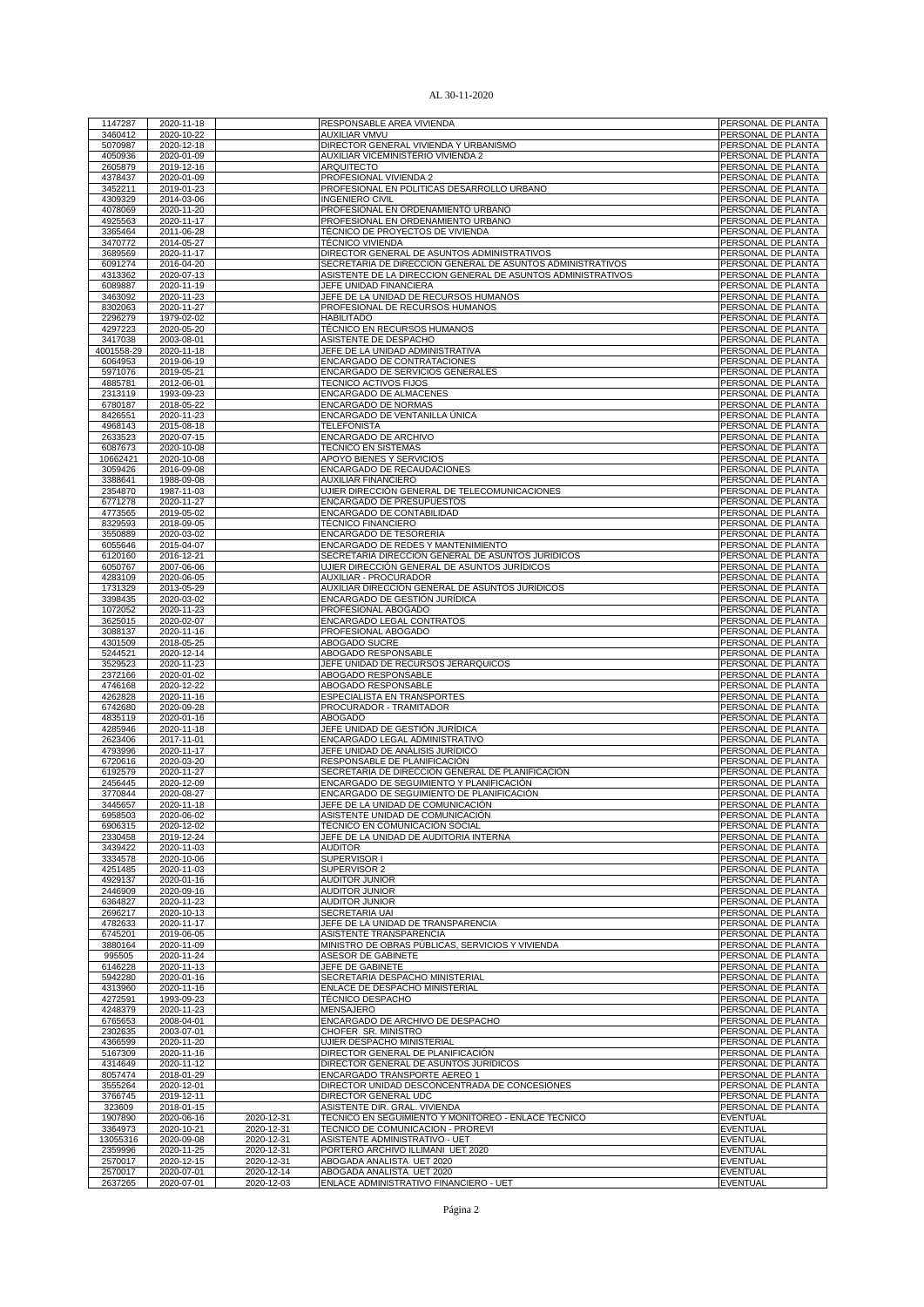| 1147287            | 2020-11-18               |                          | RESPONSABLE AREA VIVIENDA                                           | PERSONAL DE PLANTA                 |
|--------------------|--------------------------|--------------------------|---------------------------------------------------------------------|------------------------------------|
| 3460412            | 2020-10-22               |                          | <b>AUXILIAR VMVU</b>                                                | PERSONAL DE PLANTA                 |
| 5070987            | 2020-12-18               |                          | DIRECTOR GENERAL VIVIENDA Y URBANISMO                               | PERSONAL DE PLANTA                 |
| 4050936            | 2020-01-09               |                          | AUXILIAR VICEMINISTERIO VIVIENDA 2                                  | PERSONAL DE PLANTA                 |
| 2605879            | 2019-12-16               |                          | <b>ARQUITECTO</b>                                                   | PERSONAL DE PLANTA                 |
|                    |                          |                          |                                                                     |                                    |
| 4378437            | 2020-01-09               |                          | PROFESIONAL VIVIENDA 2                                              | PERSONAL DE PLANTA                 |
| 3452211            | 2019-01-23               |                          | PROFESIONAL EN POLITICAS DESARROLLO URBANO                          | PERSONAL DE PLANTA                 |
| 4309329            | 2014-03-06               |                          | <b>INGENIERO CIVIL</b>                                              | PERSONAL DE PLANTA                 |
| 4078069            | 2020-11-20               |                          | PROFESIONAL EN ORDENAMIENTO URBANO                                  | PERSONAL DE PLANTA                 |
|                    |                          |                          |                                                                     |                                    |
| 4925563            | 2020-11-17               |                          | PROFESIONAL EN ORDENAMIENTO URBANO                                  | PERSONAL DE PLANTA                 |
| 3365464            | 2011-06-28               |                          | TÉCNICO DE PROYECTOS DE VIVIENDA                                    | PERSONAL DE PLANTA                 |
| 3470772            | 2014-05-27               |                          | TÉCNICO VIVIENDA                                                    | PERSONAL DE PLANTA                 |
| 3689569            | 2020-11-17               |                          | DIRECTOR GENERAL DE ASUNTOS ADMINISTRATIVOS                         | PERSONAL DE PLANTA                 |
|                    |                          |                          |                                                                     |                                    |
| 6091274            | 2016-04-20               |                          | SECRETARIA DE DIRECCIÓN GENERAL DE ASUNTOS ADMINISTRATIVOS          | PERSONAL DE PLANTA                 |
| 4313362            | 2020-07-13               |                          | ASISTENTE DE LA DIRECCION GENERAL DE ASUNTOS ADMINISTRATIVOS        | PERSONAL DE PLANTA                 |
| 6089887            | 2020-11-19               |                          | JEFE UNIDAD FINANCIERA                                              | PERSONAL DE PLANTA                 |
| 3463092            | 2020-11-23               |                          | JEFE DE LA UNIDAD DE RECURSOS HUMANOS                               | PERSONAL DE PLANTA                 |
|                    |                          |                          |                                                                     |                                    |
| 8302063            | 2020-11-27               |                          | PROFESIONAL DE RECURSOS HUMANOS                                     | PERSONAL DE PLANTA                 |
| 2296279            | 1979-02-02               |                          | <b>HABILITADO</b>                                                   | PERSONAL DE PLANTA                 |
| 4297223            | 2020-05-20               |                          | TÉCNICO EN RECURSOS HUMANOS                                         | PERSONAL DE PLANTA                 |
| 3417038            | 2003-08-01               |                          | ASISTENTE DE DESPACHO                                               | PERSONAL DE PLANTA                 |
| 4001558-29         | 2020-11-18               |                          | JEFE DE LA UNIDAD ADMINISTRATIVA                                    | PERSONAL DE PLANTA                 |
|                    |                          |                          |                                                                     |                                    |
| 6064953            | 2019-06-19               |                          | ENCARGADO DE CONTRATACIONES                                         | PERSONAL DE PLANTA                 |
| 5971076            | 2019-05-21               |                          | ENCARGADO DE SERVICIOS GENERALES                                    | PERSONAL DE PLANTA                 |
| 4885781            | 2012-06-01               |                          | TECNICO ACTIVOS FIJOS                                               | PERSONAL DE PLANTA                 |
| 2313119            | 1993-09-23               |                          | ENCARGADO DE ALMACENES                                              | PERSONAL DE PLANTA                 |
|                    |                          |                          |                                                                     |                                    |
| 6780187            | 2018-05-22               |                          | <b>ENCARGADO DE NORMAS</b>                                          | PERSONAL DE PLANTA                 |
| 8426551            | 2020-11-23               |                          | ENCARGADO DE VENTANILLA ÚNICA                                       | PERSONAL DE PLANTA                 |
| 4968143            | 2015-08-18               |                          | <b>TELEFONISTA</b>                                                  | PERSONAL DE PLANTA                 |
| 2633523            | 2020-07-15               |                          | ENCARGADO DE ARCHIVO                                                | PERSONAL DE PLANTA                 |
|                    |                          |                          | TÉCNICO EN SISTEMAS                                                 |                                    |
| 6087673            | 2020-10-08               |                          |                                                                     | PERSONAL DE PLANTA                 |
| 10662421           | 2020-10-08               |                          | APOYO BIENES Y SERVICIOS                                            | PERSONAL DE PLANTA                 |
| 3059426            | 2016-09-08               |                          | ENCARGADO DE RECAUDACIONES                                          | PERSONAL DE PLANTA                 |
| 3388641            | 1988-09-08               |                          | <b>AUXILIAR FINANCIERO</b>                                          | PERSONAL DE PLANTA                 |
|                    | 1987-11-03               |                          |                                                                     |                                    |
| 2354870            |                          |                          | UJIER DIRECCIÓN GENERAL DE TELECOMUNICACIONES                       | PERSONAL DE PLANTA                 |
| 6771278            | 2020-11-27               |                          | ENCARGADO DE PRESUPUESTOS                                           | PERSONAL DE PLANTA                 |
| 4773565            | 2019-05-02               |                          | ENCARGADO DE CONTABILIDAD                                           | PERSONAL DE PLANTA                 |
| 8329593            | 2018-09-05               |                          | <b>TÉCNICO FINANCIERO</b>                                           | PERSONAL DE PLANTA                 |
|                    |                          |                          |                                                                     | PERSONAL DE PLANTA                 |
| 3550889            | 2020-03-02               |                          | ENCARGADO DE TESORERÍA                                              |                                    |
| 6055646            | 2015-04-07               |                          | ENCARGADO DE REDES Y MANTENIMIENTO                                  | PERSONAL DE PLANTA                 |
| 6120160            | 2016-12-21               |                          | SECRETARIA DIRECCIÓN GENERAL DE ASUNTOS JURÍDICOS                   | PERSONAL DE PLANTA                 |
| 6050767            | 2007-06-06               |                          | UJIER DIRECCIÓN GENERAL DE ASUNTOS JURÍDICOS                        | PERSONAL DE PLANTA                 |
|                    |                          |                          |                                                                     |                                    |
| 4283109            | 2020-06-05               |                          | AUXILIAR - PROCURADOR                                               | PERSONAL DE PLANTA                 |
| 1731329            | 2013-05-29               |                          | AUXILIAR DIRECCIÓN GENERAL DE ASUNTOS JURÍDICOS                     | PERSONAL DE PLANTA                 |
| 3398435            | 2020-03-02               |                          | ENCARGADO DE GESTIÓN JURÍDICA                                       | PERSONAL DE PLANTA                 |
| 1072052            | 2020-11-23               |                          | PROFESIONAL ABOGADO                                                 | PERSONAL DE PLANTA                 |
|                    |                          |                          |                                                                     |                                    |
| 3625015            | 2020-02-07               |                          | ENCARGADO LEGAL CONTRATOS                                           | PERSONAL DE PLANTA                 |
| 3088137            | 2020-11-16               |                          | PROFESIONAL ABOGADO                                                 | PERSONAL DE PLANTA                 |
| 4301509            | 2018-05-25               |                          | ABOGADO SUCRE                                                       | PERSONAL DE PLANTA                 |
| 5244521            | 2020-12-14               |                          | ABOGADO RESPONSABLE                                                 | PERSONAL DE PLANTA                 |
|                    |                          |                          |                                                                     | PERSONAL DE PLANTA                 |
| 3529523            | 2020-11-23               |                          | JEFE UNIDAD DE RECURSOS JERÁRQUICOS                                 |                                    |
|                    |                          |                          |                                                                     |                                    |
| 2372166            | 2020-01-02               |                          | ABOGADO RESPONSABLE                                                 | PERSONAL DE PLANTA                 |
| 4746168            | 2020-12-22               |                          | ABOGADO RESPONSABLE                                                 | PERSONAL DE PLANTA                 |
|                    |                          |                          |                                                                     |                                    |
| 4262828            | 2020-11-16               |                          | ESPECIALISTA EN TRANSPORTES                                         | PERSONAL DE PLANTA                 |
| 6742680            | 2020-09-28               |                          | PROCURADOR - TRAMITADOR                                             | PERSONAL DE PLANTA                 |
| 4835119            | 2020-01-16               |                          | <b>ABOGADO</b>                                                      | PERSONAL DE PLANTA                 |
| 4285946            | 2020-11-18               |                          | JEFE UNIDAD DE GESTIÓN JURÍDICA                                     | PERSONAL DE PLANTA                 |
| 2623406            | 2017-11-01               |                          | ENCARGADO LEGAL ADMINISTRATIVO                                      | PERSONAL DE PLANTA                 |
|                    |                          |                          |                                                                     |                                    |
| 4793996            | 2020-11-17               |                          | JEFE UNIDAD DE ANÁLISIS JURÍDICO                                    | PERSONAL DE PLANTA                 |
| 6720616            | 2020-03-20               |                          | RESPONSABLE DE PLANIFICACIÓN                                        | PERSONAL DE PLANTA                 |
| 6192579            | 2020-11-27               |                          | SECRETARIA DE DIRECCION GENERAL DE PLANIFICACIÓN                    | PERSONAL DE PLANTA                 |
| 2456445            | 2020-12-09               |                          | ENCARGADO DE SEGUIMIENTO Y PLANIFICACIÓN                            | PERSONAL DE PLANTA                 |
| 3770844            | 2020-08-27               |                          | ENCARGADO DE SEGUIMIENTO DE PLANIFICACIÓN                           | PERSONAL DE PLANTA                 |
|                    |                          |                          |                                                                     |                                    |
| 3445657            | 2020-11-18               |                          | JEFE DE LA UNIDAD DE COMUNICACIÓN                                   | PERSONAL DE PLANTA                 |
| 6958503            | 2020-06-02               |                          | ASISTENTE UNIDAD DE COMUNICACIÓN                                    | PERSONAL DE PLANTA                 |
| 6906315            | 2020-12-02               |                          | TÉCNICO EN COMUNICACIÓN SOCIAL                                      | PERSONAL DE PLANTA                 |
| 2330458            | 2019-12-24               |                          | JEFE DE LA UNIDAD DE AUDITORIA INTERNA                              | PERSONAL DE PLANTA                 |
|                    |                          |                          | <b>AUDITOR</b>                                                      |                                    |
| 3439422            | 2020-11-03               |                          |                                                                     | PERSONAL DE PLANTA                 |
| 3334578            | 2020-10-06               |                          | <b>SUPERVISOR I</b>                                                 | PERSONAL DE PLANTA                 |
| 4251485            | 2020-11-03               |                          | SUPERVISOR 2                                                        | PERSONAL DE PLANTA                 |
| 4929137            | 2020-01-16               |                          | <b>AUDITOR JUNIOR</b>                                               | PERSONAL DE PLANTA                 |
| 2446909            | 2020-09-16               |                          | <b>AUDITOR JUNIOR</b>                                               | PERSONAL DE PLANTA                 |
|                    |                          |                          |                                                                     |                                    |
| 6364827            | 2020-11-23               |                          | <b>AUDITOR JUNIOR</b>                                               | PERSONAL DE PLANTA                 |
| 2696217            | 2020-10-13               |                          | <b>SECRETARIA UAI</b>                                               | PERSONAL DE PLANTA                 |
| 4782633            | 2020-11-17               |                          | JEFE DE LA UNIDAD DE TRANSPARENCIA                                  | PERSONAL DE PLANTA                 |
| 6745201            | 2019-06-05               |                          | ASISTENTE TRANSPARENCIA                                             | PERSONAL DE PLANTA                 |
| 3880164            |                          |                          |                                                                     | PERSONAL DE PLANTA                 |
|                    | 2020-11-09               |                          | MINISTRO DE OBRAS PÚBLICAS, SERVICIOS Y VIVIENDA                    |                                    |
| 995505             | 2020-11-24               |                          | ASESOR DE GABINETE                                                  | PERSONAL DE PLANTA                 |
| 6146228            | 2020-11-13               |                          | JEFE DE GABINETE                                                    | PERSONAL DE PLANTA                 |
| 5942280            | 2020-01-16               |                          | SECRETARIA DESPACHO MINISTERIAL                                     | PERSONAL DE PLANTA                 |
| 4313960            | 2020-11-16               |                          | ENLACE DE DESPACHO MINISTERIAL                                      | PERSONAL DE PLANTA                 |
|                    |                          |                          |                                                                     |                                    |
| 4272591            | 1993-09-23               |                          | <b>TÉCNICO DESPACHO</b>                                             | PERSONAL DE PLANTA                 |
| 4248379            | 2020-11-23               |                          | <b>MENSAJERO</b>                                                    | PERSONAL DE PLANTA                 |
| 6765653            | 2008-04-01               |                          | ENCARGADO DE ARCHIVO DE DESPACHO                                    | PERSONAL DE PLANTA                 |
| 2302635            | 2003-07-01               |                          | CHOFER SR. MINISTRO                                                 | PERSONAL DE PLANTA                 |
|                    |                          |                          |                                                                     | PERSONAL DE PLANTA                 |
| 4366599            | 2020-11-20               |                          | UJIER DESPACHO MINISTERIAL                                          |                                    |
| 5167309            | 2020-11-16               |                          | DIRECTOR GENERAL DE PLANIFICACIÓN                                   | PERSONAL DE PLANTA                 |
| 4314649            | 2020-11-12               |                          | DIRECTOR GENERAL DE ASUNTOS JURÍDICOS                               | PERSONAL DE PLANTA                 |
| 8057474            | 2018-01-29               |                          | ENCARGADO TRANSPORTE AEREO 1                                        | PERSONAL DE PLANTA                 |
| 3555264            | 2020-12-01               |                          | DIRECTOR UNIDAD DESCONCENTRADA DE CONCESIONES                       | PERSONAL DE PLANTA                 |
|                    |                          |                          |                                                                     |                                    |
| 3766745            | 2019-12-11               |                          | DIRECTOR GENERAL UDC                                                | PERSONAL DE PLANTA                 |
| 323609             | 2018-01-15               |                          | ASISTENTE DIR. GRAL. VIVIENDA                                       | PERSONAL DE PLANTA                 |
| 1907890            | 2020-06-16               | 2020-12-31               | TECNICO EN SEGUIMIENTO Y MONITOREO - ENLACE TECNICO                 | EVENTUAL                           |
| 3364973            | 2020-10-21               | 2020-12-31               | TECNICO DE COMUNICACION - PROREVI                                   | <b>EVENTUAL</b>                    |
|                    |                          |                          | ASISTENTE ADMINISTRATIVO - UET                                      | EVENTUAL                           |
| 13055316           | 2020-09-08               | 2020-12-31               |                                                                     |                                    |
| 2359996            | 2020-11-25               | 2020-12-31               | PORTERO ARCHIVO ILLIMANI UET 2020                                   | <b>EVENTUAL</b>                    |
| 2570017            | 2020-12-15               | 2020-12-31               | ABOGADA ANALISTA UET 2020                                           | <b>EVENTUAL</b>                    |
| 2570017<br>2637265 | 2020-07-01<br>2020-07-01 | 2020-12-14<br>2020-12-03 | ABOGADA ANALISTA UET 2020<br>ENLACE ADMINISTRATIVO FINANCIERO - UET | <b>EVENTUAL</b><br><b>EVENTUAL</b> |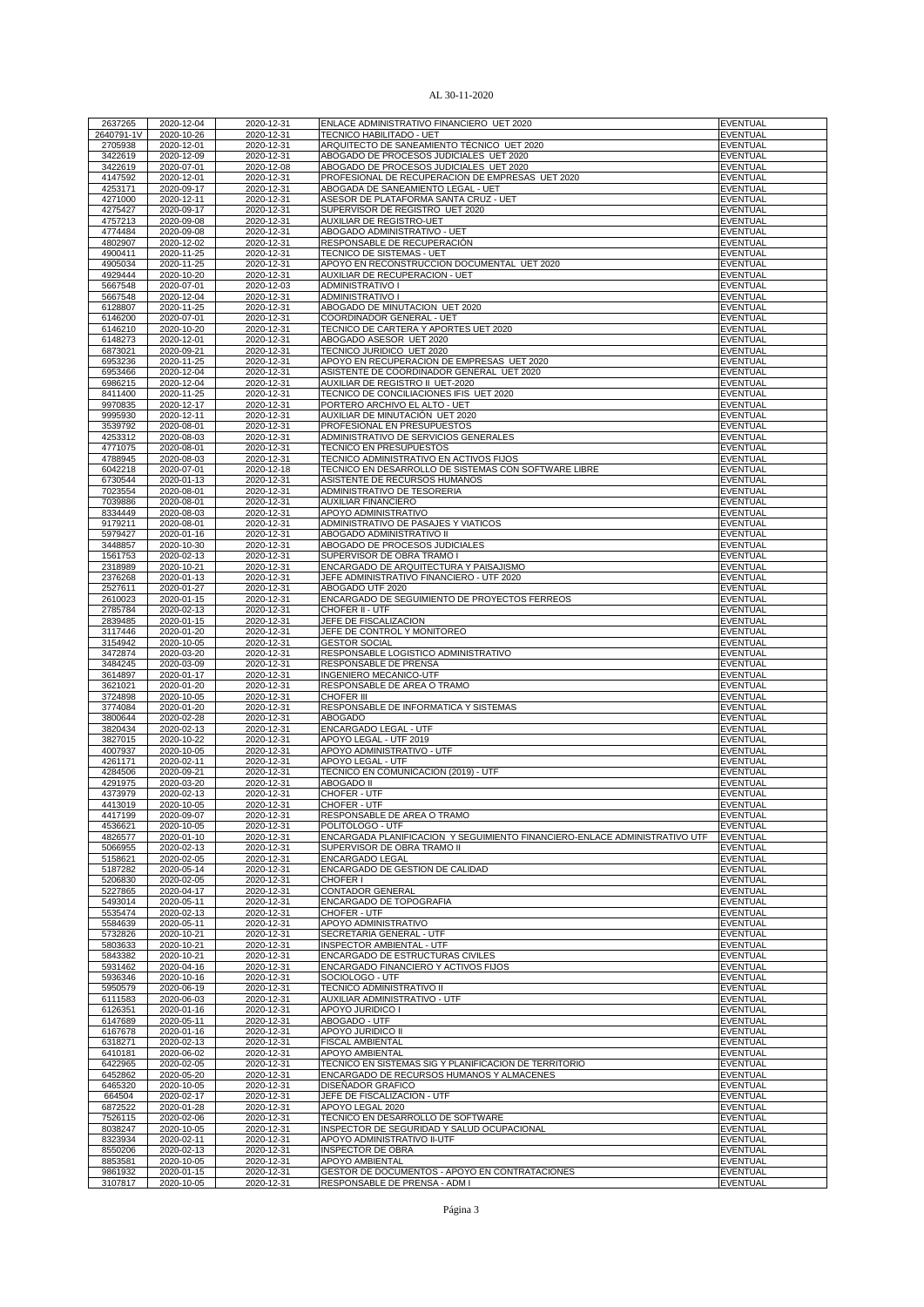| 2637265<br>2640791-1V<br>2705938 |                          |                          |                                                                                 |                             |
|----------------------------------|--------------------------|--------------------------|---------------------------------------------------------------------------------|-----------------------------|
|                                  | 2020-12-04               | 2020-12-31               | ENLACE ADMINISTRATIVO FINANCIERO UET 2020                                       | <b>EVENTUAL</b>             |
|                                  | 2020-10-26               | 2020-12-31               | TECNICO HABILITADO - UET                                                        | <b>EVENTUAL</b>             |
|                                  | 2020-12-01               | 2020-12-31               | ARQUITECTO DE SANEAMIENTO TÉCNICO UET 2020                                      | <b>EVENTUAL</b>             |
| 3422619                          | 2020-12-09               | 2020-12-31               | ABOGADO DE PROCESOS JUDICIALES UET 2020                                         | EVENTUAL                    |
| 3422619                          | 2020-07-01               | 2020-12-08               | ABOGADO DE PROCESOS JUDICIALES UET 2020                                         | <b>EVENTUAL</b>             |
|                                  |                          |                          |                                                                                 |                             |
| 4147592                          | 2020-12-01               | 2020-12-31               | PROFESIONAL DE RECUPERACION DE EMPRESAS UET 2020                                | <b>EVENTUAL</b>             |
| 4253171                          | 2020-09-17               | 2020-12-31               | ABOGADA DE SANEAMIENTO LEGAL - UET                                              | <b>EVENTUAL</b>             |
| 4271000                          | 2020-12-11               | 2020-12-31               | ASESOR DE PLATAFORMA SANTA CRUZ - UET                                           | <b>EVENTUAL</b>             |
| 4275427                          | 2020-09-17               | 2020-12-31               | SUPERVISOR DE REGISTRO UET 2020                                                 | <b>EVENTUAL</b>             |
| 4757213                          | 2020-09-08               | 2020-12-31               | AUXILIAR DE REGISTRO-UET                                                        | <b>EVENTUAL</b>             |
|                                  |                          |                          |                                                                                 |                             |
| 4774484                          | 2020-09-08               | 2020-12-31               | ABOGADO ADMINISTRATIVO - UET                                                    | <b>EVENTUAL</b>             |
| 4802907                          | 2020-12-02               | 2020-12-31               | RESPONSABLE DE RECUPERACIÓN                                                     | <b>EVENTUAL</b>             |
| 4900411                          | 2020-11-25               | 2020-12-31               | TECNICO DE SISTEMAS - UET                                                       | <b>EVENTUAL</b>             |
| 4905034                          | 2020-11-25               | 2020-12-31               | APOYO EN RECONSTRUCCION DOCUMENTAL UET 2020                                     | EVENTUAL                    |
| 4929444                          | 2020-10-20               | 2020-12-31               | AUXILIAR DE RECUPERACION - UET                                                  | EVENTUAL                    |
| 5667548                          | 2020-07-01               |                          | <b>ADMINISTRATIVO I</b>                                                         | <b>EVENTUAL</b>             |
|                                  |                          | 2020-12-03               |                                                                                 |                             |
| 5667548                          | 2020-12-04               | 2020-12-31               | <b>ADMINISTRATIVO I</b>                                                         | <b>EVENTUAL</b>             |
| 6128807                          | 2020-11-25               | 2020-12-31               | ABOGADO DE MINUTACION UET 2020                                                  | <b>EVENTUAL</b>             |
| 6146200                          | 2020-07-01               | 2020-12-31               | COORDINADOR GENERAL - UET                                                       | <b>EVENTUAL</b>             |
| 6146210                          | 2020-10-20               | 2020-12-31               | TECNICO DE CARTERA Y APORTES UET 2020                                           | EVENTUAL                    |
|                                  |                          |                          |                                                                                 |                             |
| 6148273                          | 2020-12-01               | 2020-12-31               | ABOGADO ASESOR UET 2020                                                         | EVENTUAL                    |
| 6873021                          | 2020-09-21               | 2020-12-31               | TECNICO JURIDICO UET 2020                                                       | EVENTUAL                    |
| 6953236                          | 2020-11-25               | 2020-12-31               | APOYO EN RECUPERACION DE EMPRESAS UET 2020                                      | <b>EVENTUAL</b>             |
| 6953466                          | 2020-12-04               | 2020-12-31               | ASISTENTE DE COORDINADOR GENERAL UET 2020                                       | <b>EVENTUAL</b>             |
| 6986215                          | 2020-12-04               | 2020-12-31               | AUXILIAR DE REGISTRO II UET-2020                                                | <b>EVENTUAL</b>             |
|                                  |                          |                          |                                                                                 |                             |
| 8411400                          | 2020-11-25               | 2020-12-31               | TECNICO DE CONCILIACIONES IFIS UET 2020                                         | EVENTUAL                    |
| 9970835                          | 2020-12-17               | 2020-12-31               | PORTERO ARCHIVO EL ALTO - UET                                                   | <b>EVENTUAL</b>             |
| 9995930                          | 2020-12-11               | 2020-12-31               | AUXILIAR DE MINUTACIÓN UET 2020                                                 | <b>EVENTUAL</b>             |
| 3539792                          | 2020-08-01               | 2020-12-31               | PROFESIONAL EN PRESUPUESTOS                                                     | EVENTUAL                    |
| 4253312                          | 2020-08-03               | 2020-12-31               | ADMINISTRATIVO DE SERVICIOS GENERALES                                           | <b>EVENTUAL</b>             |
|                                  |                          |                          |                                                                                 |                             |
| 4771075                          | 2020-08-01               | 2020-12-31               | TECNICO EN PRESUPUESTOS                                                         | <b>EVENTUAL</b>             |
| 4788945                          | 2020-08-03               | 2020-12-31               | TECNICO ADMINISTRATIVO EN ACTIVOS FIJOS                                         | <b>EVENTUAL</b>             |
| 6042218                          | 2020-07-01               | 2020-12-18               | TECNICO EN DESARROLLO DE SISTEMAS CON SOFTWARE LIBRE                            | <b>EVENTUAL</b>             |
| 6730544                          | 2020-01-13               | 2020-12-31               | ASISTENTE DE RECURSOS HUMANOS                                                   | <b>EVENTUAL</b>             |
| 7023554                          | 2020-08-01               | 2020-12-31               | ADMINISTRATIVO DE TESORERIA                                                     | <b>EVENTUAL</b>             |
|                                  |                          |                          |                                                                                 |                             |
| 7039886                          | 2020-08-01               | 2020-12-31               | <b>AUXILIAR FINANCIERO</b>                                                      | <b>EVENTUAL</b>             |
| 8334449                          | 2020-08-03               | 2020-12-31               | APOYO ADMINISTRATIVO                                                            | <b>EVENTUAL</b>             |
| 9179211                          | 2020-08-01               | 2020-12-31               | ADMINISTRATIVO DE PASAJES Y VIATICOS                                            | <b>EVENTUAL</b>             |
| 5979427                          | 2020-01-16               | 2020-12-31               | ABOGADO ADMINISTRATIVO II                                                       | <b>EVENTUAL</b>             |
| 3448857                          | 2020-10-30               | 2020-12-31               | ABOGADO DE PROCESOS JUDICIALES                                                  | <b>EVENTUAL</b>             |
|                                  |                          |                          |                                                                                 |                             |
| 1561753                          | 2020-02-13               | 2020-12-31               | SUPERVISOR DE OBRA TRAMO I                                                      | <b>EVENTUAL</b>             |
| 2318989                          | 2020-10-21               | 2020-12-31               | ENCARGADO DE ARQUITECTURA Y PAISAJISMO                                          | <b>EVENTUAL</b>             |
| 2376268                          | 2020-01-13               | 2020-12-31               | JEFE ADMINISTRATIVO FINANCIERO - UTF 2020                                       | <b>EVENTUAL</b>             |
| 2527611                          | 2020-01-27               | 2020-12-31               | ABOGADO UTF 2020                                                                | <b>EVENTUAL</b>             |
|                                  |                          |                          |                                                                                 |                             |
| 2610023                          | 2020-01-15               | 2020-12-31               | ENCARGADO DE SEGUIMIENTO DE PROYECTOS FERREOS                                   | EVENTUAL                    |
| 2785784                          | 2020-02-13               | 2020-12-31               | CHOFER II - UTF                                                                 | EVENTUAL                    |
| 2839485                          | 2020-01-15               | 2020-12-31               | JEFE DE FISCALIZACION                                                           | <b>EVENTUAL</b>             |
| 3117446                          | 2020-01-20               | 2020-12-31               | JEFE DE CONTROL Y MONITOREO                                                     | <b>EVENTUAL</b>             |
| 3154942                          | 2020-10-05               | 2020-12-31               | <b>GESTOR SOCIAL</b>                                                            | <b>EVENTUAL</b>             |
|                                  |                          |                          |                                                                                 |                             |
| 3472874                          | 2020-03-20               | 2020-12-31               | RESPONSABLE LOGISTICO ADMINISTRATIVO                                            | <b>EVENTUAL</b>             |
| 3484245                          | 2020-03-09               | 2020-12-31               | RESPONSABLE DE PRENSA                                                           | EVENTUAL                    |
| 3614897                          | 2020-01-17               | 2020-12-31               | <b>INGENIERO MECANICO-UTF</b>                                                   | <b>EVENTUAL</b>             |
| 3621021                          | 2020-01-20               | 2020-12-31               | RESPONSABLE DE AREA O TRAMO                                                     | <b>EVENTUAL</b>             |
| 3724898                          | 2020-10-05               | 2020-12-31               | CHOFER III                                                                      | <b>EVENTUAL</b>             |
| 3774084                          |                          |                          | RESPONSABLE DE INFORMATICA Y SISTEMAS                                           | <b>EVENTUAL</b>             |
|                                  | 2020-01-20               | 2020-12-31               |                                                                                 |                             |
| 3800644                          | 2020-02-28               | 2020-12-31               | ABOGADO                                                                         | <b>EVENTUAL</b>             |
| 3820434                          |                          |                          | ENCARGADO LEGAL - UTF                                                           | <b>EVENTUAL</b>             |
|                                  | 2020-02-13               | 2020-12-31               | APOYO LEGAL - UTF 2019                                                          |                             |
| 3827015                          | 2020-10-22               | 2020-12-31               |                                                                                 | <b>EVENTUAL</b>             |
|                                  |                          |                          |                                                                                 |                             |
| 4007937                          | 2020-10-05               | 2020-12-31               | APOYO ADMINISTRATIVO - UTF                                                      | <b>EVENTUAL</b>             |
| 4261171                          | 2020-02-11               | 2020-12-31               | APOYO LEGAL - UTF                                                               | <b>EVENTUAL</b>             |
| 4284506                          | 2020-09-21               | 2020-12-31               | TECNICO EN COMUNICACION (2019) - UTF                                            | <b>EVENTUAL</b>             |
| 4291975                          | 2020-03-20               | 2020-12-31               | <b>ABOGADO II</b>                                                               | EVENTUAL                    |
| 4373979                          | 2020-02-13               | 2020-12-31               | CHOFER - UTF                                                                    | <b>EVENTUAL</b>             |
|                                  |                          | 2020-12-31               |                                                                                 | <b>EVENTUAL</b>             |
| 4413019                          | 2020-10-05               |                          | CHOFER - UTF                                                                    |                             |
| 4417199                          | 2020-09-07               | 2020-12-31               | RESPONSABLE DE AREA O TRAMO                                                     | <b>EVENTUAL</b>             |
| 4536621                          | 2020-10-05               | 2020-12-31               | POLITÓLOGO - UTF                                                                | <b>EVENTUAL</b>             |
| 4826577                          | 2020-01-10               | 2020-12-31               | ENCARGADA PLANIFICACION Y SEGUIMIENTO FINANCIERO-ENLACE ADMINISTRATIVO UTF      | <b>EVENTUAL</b>             |
| 5066955                          | 2020-02-13               | 2020-12-31               | SUPERVISOR DE OBRA TRAMO II                                                     | <b>EVENTUAL</b>             |
| 5158621                          | 2020-02-05               | 2020-12-31               | ENCARGADO LEGAL                                                                 | <b>EVENTUAL</b>             |
|                                  | 2020-05-14               |                          | ENCARGADO DE GESTION DE CALIDAD                                                 | <b>EVENTUAL</b>             |
| 5187282                          |                          | 2020-12-31               |                                                                                 |                             |
| 5206830                          | 2020-02-05               | 2020-12-31               | CHOFER I                                                                        | <b>EVENTUAL</b>             |
| 5227865                          | 2020-04-17               | 2020-12-31               | <b>CONTADOR GENERAL</b>                                                         | <b>EVENTUAL</b>             |
| 5493014                          | 2020-05-11               | 2020-12-31               | ENCARGADO DE TOPOGRAFIA                                                         | EVENTUAL                    |
| 5535474                          | 2020-02-13               | 2020-12-31               | CHOFER - UTF                                                                    | EVENTUAL                    |
| 5584639                          | 2020-05-11               | 2020-12-31               | APOYO ADMINISTRATIVO                                                            | <b>EVENTUAL</b>             |
|                                  |                          |                          |                                                                                 |                             |
| 5732826                          | 2020-10-21               | 2020-12-31               | SECRETARIA GENERAL - UTF                                                        | <b>EVENTUAL</b>             |
| 5803633                          | 2020-10-21               | 2020-12-31               | <b>INSPECTOR AMBIENTAL - UTF</b>                                                | EVENTUAL                    |
| 5843382                          | 2020-10-21               | 2020-12-31               | ENCARGADO DE ESTRUCTURAS CIVILES                                                | <b>EVENTUAL</b>             |
| 5931462                          | 2020-04-16               | 2020-12-31               | ENCARGADO FINANCIERO Y ACTIVOS FIJOS                                            | <b>EVENTUAL</b>             |
| 5936346                          | 2020-10-16               | 2020-12-31               | SOCIOLOGO - UTF                                                                 | <b>EVENTUAL</b>             |
|                                  |                          |                          |                                                                                 |                             |
| 5950579                          | 2020-06-19               | 2020-12-31               | TECNICO ADMINISTRATIVO II                                                       | EVENTUAL                    |
| 6111583                          | 2020-06-03               | 2020-12-31               | AUXILIAR ADMINISTRATIVO - UTF                                                   | <b>EVENTUAL</b>             |
| 6126351                          | 2020-01-16               | 2020-12-31               | APOYO JURIDICO I                                                                | <b>EVENTUAL</b>             |
| 6147689                          | 2020-05-11               | 2020-12-31               | ABOGADO - UTF                                                                   | EVENTUAL                    |
| 6167678                          | 2020-01-16               | 2020-12-31               | APOYO JURIDICO II                                                               | <b>EVENTUAL</b>             |
|                                  |                          |                          | FISCAL AMBIENTAL                                                                | <b>EVENTUAL</b>             |
| 6318271                          | 2020-02-13               | 2020-12-31               |                                                                                 |                             |
| 6410181                          | 2020-06-02               | 2020-12-31               | <b>APOYO AMBIENTAL</b>                                                          | <b>EVENTUAL</b>             |
| 6422965                          | 2020-02-05               | 2020-12-31               | TECNICO EN SISTEMAS SIG Y PLANIFICACION DE TERRITORIO                           | <b>EVENTUAL</b>             |
| 6452862                          | 2020-05-20               | 2020-12-31               | ENCARGADO DE RECURSOS HUMANOS Y ALMACENES                                       | <b>EVENTUAL</b>             |
| 6465320                          | 2020-10-05               | 2020-12-31               | DISEÑADOR GRAFICO                                                               | EVENTUAL                    |
|                                  | 2020-02-17               |                          | JEFE DE FISCALIZACION - UTF                                                     | <b>EVENTUAL</b>             |
| 664504                           |                          | 2020-12-31               |                                                                                 |                             |
| 6872522                          | 2020-01-28               | 2020-12-31               | APOYO LEGAL 2020                                                                | <b>EVENTUAL</b>             |
| 7526115                          | 2020-02-06               | 2020-12-31               | TÉCNICO EN DESARROLLO DE SOFTWARE                                               | EVENTUAL                    |
| 8038247                          | 2020-10-05               | 2020-12-31               | INSPECTOR DE SEGURIDAD Y SALUD OCUPACIONAL                                      | <b>EVENTUAL</b>             |
| 8323934                          | 2020-02-11               | 2020-12-31               | APOYO ADMINISTRATIVO II-UTF                                                     | <b>EVENTUAL</b>             |
| 8550206                          | 2020-02-13               | 2020-12-31               | <b>INSPECTOR DE OBRA</b>                                                        | EVENTUAL                    |
|                                  |                          |                          |                                                                                 |                             |
| 8853581                          | 2020-10-05               | 2020-12-31               | APOYO AMBIENTAL                                                                 | <b>EVENTUAL</b>             |
| 9861932<br>3107817               | 2020-01-15<br>2020-10-05 | 2020-12-31<br>2020-12-31 | GESTOR DE DOCUMENTOS - APOYO EN CONTRATACIONES<br>RESPONSABLE DE PRENSA - ADM I | <b>EVENTUAL</b><br>EVENTUAL |